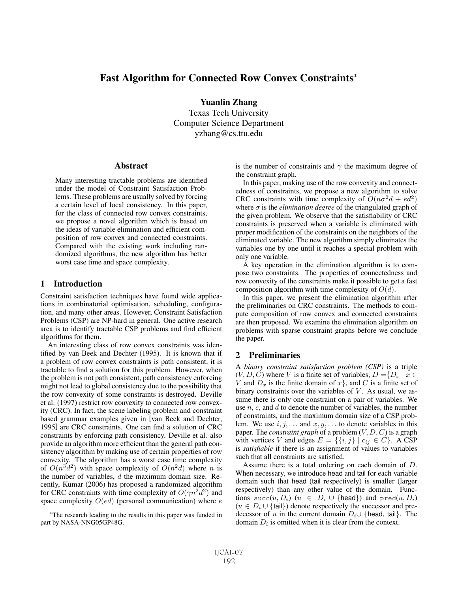# Fast Algorithm for Connected Row Convex Constraints<sup>∗</sup>

Yuanlin Zhang Texas Tech University Computer Science Department yzhang@cs.ttu.edu

#### Abstract

Many interesting tractable problems are identified under the model of Constraint Satisfaction Problems. These problems are usually solved by forcing a certain level of local consistency. In this paper, for the class of connected row convex constraints, we propose a novel algorithm which is based on the ideas of variable elimination and efficient composition of row convex and connected constraints. Compared with the existing work including randomized algorithms, the new algorithm has better worst case time and space complexity.

## 1 Introduction

Constraint satisfaction techniques have found wide applications in combinatorial optimisation, scheduling, configuration, and many other areas. However, Constraint Satisfaction Problems (CSP) are NP-hard in general. One active research area is to identify tractable CSP problems and find efficient algorithms for them.

An interesting class of row convex constraints was identified by van Beek and Dechter (1995). It is known that if a problem of row convex constraints is path consistent, it is tractable to find a solution for this problem. However, when the problem is not path consistent, path consistency enforcing might not lead to global consistency due to the possibility that the row convexity of some constraints is destroyed. Deville et al. (1997) restrict row convexity to connected row convexity (CRC). In fact, the scene labeling problem and constraint based grammar examples given in [van Beek and Dechter, 1995] are CRC constraints. One can find a solution of CRC constraints by enforcing path consistency. Deville et al. also provide an algorithm more efficient than the general path consistency algorithm by making use of certain properties of row convexity. The algorithm has a worst case time complexity of  $O(n^3d^2)$  with space complexity of  $O(n^2d)$  where n is the number of variables,  $d$  the maximum domain size. Recently, Kumar (2006) has proposed a randomized algorithm for CRC constraints with time complexity of  $O(\gamma n^2 d^2)$  and space complexity  $O(ed)$  (personal communication) where  $e$  is the number of constraints and  $\gamma$  the maximum degree of the constraint graph.

In this paper, making use of the row convexity and connectedness of constraints, we propose a new algorithm to solve CRC constraints with time complexity of  $O(n\sigma^2 d + \epsilon d^2)$ where  $\sigma$  is the *elimination degree* of the triangulated graph of the given problem. We observe that the satisfiability of CRC constraints is preserved when a variable is eliminated with proper modification of the constraints on the neighbors of the eliminated variable. The new algorithm simply eliminates the variables one by one until it reaches a special problem with only one variable.

A key operation in the elimination algorithm is to compose two constraints. The properties of connectedness and row convexity of the constraints make it possible to get a fast composition algorithm with time complexity of  $O(d)$ .

In this paper, we present the elimination algorithm after the preliminaries on CRC constraints. The methods to compute composition of row convex and connected constraints are then proposed. We examine the elimination algorithm on problems with sparse constraint graphs before we conclude the paper.

# 2 Preliminaries

A *binary constraint satisfaction problem (CSP)* is a triple  $(V, D, C)$  where V is a finite set of variables,  $D = \{D_x | x \in$ V and  $D_x$  is the finite domain of  $x$ , and C is a finite set of binary constraints over the variables of  $V$ . As usual, we assume there is only one constraint on a pair of variables. We use  $n, e$ , and  $d$  to denote the number of variables, the number of constraints, and the maximum domain size of a CSP problem. We use  $i, j, \ldots$  and  $x, y, \ldots$  to denote variables in this paper. The *constraint graph* of a problem (V, D, C) is a graph with vertices V and edges  $E = \{\{i, j\} \mid c_{ij} \in C\}$ . A CSP is *satisfiable* if there is an assignment of values to variables such that all constraints are satisfied.

Assume there is a total ordering on each domain of D. When necessary, we introduce head and tail for each variable domain such that head (tail respectively) is smaller (larger respectively) than any other value of the domain. Functions succ(u,  $D_i$ ) ( $u \in D_i \cup \{\text{head}\}\)$  and pred(u,  $D_i$ )  $(u \in D_i \cup \{tail\})$  denote respectively the successor and predecessor of u in the current domain  $D_i \cup \{head, tail\}$ . The domain  $D_i$  is omitted when it is clear from the context.

<sup>∗</sup>The research leading to the results in this paper was funded in part by NASA-NNG05GP48G.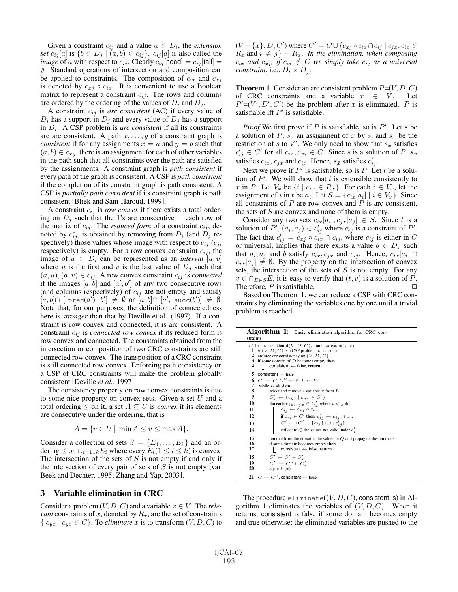Given a constraint  $c_{ij}$  and a value  $a \in D_i$ , the *extension set*  $c_{ij}[a]$  is  $\{b \in D_j \mid (a, b) \in c_{ij}\}$ .  $c_{ij}[a]$  is also called the *image* of a with respect to  $c_{ij}$ . Clearly  $c_{ij}$  [head] =  $c_{ij}$  [tail] = ∅. Standard operations of intersection and composition can be applied to constraints. The composition of  $c_{ix}$  and  $c_{xi}$ is denoted by  $c_{xj} \circ c_{ix}$ . It is convenient to use a Boolean matrix to represent a constraint  $c_{ij}$ . The rows and columns are ordered by the ordering of the values of  $D_i$  and  $D_j$ .

A constraint  $c_{ij}$  is *arc consistent* (AC) if every value of  $D_i$  has a support in  $D_j$  and every value of  $D_j$  has a support in  $D_i$ . A CSP problem is *arc consistent* if all its constraints are arc consistent. A path  $x, \ldots, y$  of a constraint graph is *consistent* if for any assignments  $x = a$  and  $y = b$  such that  $(a, b) \in c_{xy}$ , there is an assignment for each of other variables in the path such that all constraints over the path are satisfied by the assignments. A constraint graph is *path consistent* if every path of the graph is consistent. A CSP is *path consistent* if the completion of its constraint graph is path consistent. A CSP is *partially path consistent* if its constraint graph is path consistent [Bliek and Sam-Haroud, 1999].

A constraint  $c_{ij}$  is *row convex* if there exists a total ordering on  $D_i$  such that the 1's are consecutive in each row of the matrix of  $c_{ij}$ . The *reduced form* of a constraint  $c_{ij}$ , denoted by  $c_{ij}^*$ , is obtained by removing from  $D_i$  (and  $D_j$  respectively) those values whose image with respect to  $c_{ij}$  ( $c_{ji}$ ) respectively) is empty. For a row convex constraint  $c_{ij}$ , the image of  $a \in D_i$  can be represented as an *interval* [u, v] where u is the first and v is the last value of  $D_j$  such that  $(a, u), (a, v) \in c_{ij}$ . A row convex constraint  $c_{ij}$  is *connected* if the images  $[a, b]$  and  $[a', b']$  of any two consecutive rows (and columns respectively) of  $c_{ij}$  are not empty and satisfy  $[a, b] \cap [ \text{pred}(a'), b'] \neq \emptyset \text{ or } [a, b] \cap [a', \text{succ}(b')] \neq \emptyset.$ Note that, for our purposes, the definition of connectedness here is *stronger* than that by Deville et al. (1997). If a constraint is row convex and connected, it is arc consistent. A constraint  $c_{ij}$  is *connected row convex* if its reduced form is row convex and connected. The constraints obtained from the intersection or composition of two CRC constraints are still connected row convex. The transposition of a CRC constraint is still connected row convex. Enforcing path consistency on a CSP of CRC constraints will make the problem globally consistent [Deville *et al.*, 1997].

The consistency property on row convex constraints is due to some nice property on convex sets. Given a set  $U$  and a total ordering  $\leq$  on it, a set  $A \subseteq U$  is *convex* if its elements are consecutive under the ordering, that is

$$
A = \{ v \in U \mid \min A \le v \le \max A \}.
$$

Consider a collection of sets  $S = \{E_1, \ldots, E_k\}$  and an ordering  $\leq$  on  $\cup_{i=1..k} E_i$  where every  $E_i(1 \leq i \leq k)$  is convex. The intersection of the sets of  $S$  is not empty if and only if the intersection of every pair of sets of  $S$  is not empty [van Beek and Dechter, 1995; Zhang and Yap, 2003].

# 3 Variable elimination in CRC

Consider a problem  $(V, D, C)$  and a variable  $x \in V$ . The *relevant* constraints of x, denoted by  $R_x$ , are the set of constraints  $\{c_{vx} \mid c_{vx} \in C\}$ . To *eliminate* x is to transform  $(V, D, C)$  to

 $(V - \{x\}, D, C')$  where  $C' = C \cup \{c_{xj} \circ c_{ix} \cap c_{ij} \mid c_{jx}, c_{ix} \in C'\}$  $R_x$  and  $i \neq j$  –  $R_x$ . *In the elimination, when composing*  $c_{ix}$  *and*  $c_{xi}$ *, if*  $c_{ij} \notin C$  *we simply take*  $c_{ij}$  *as a universal constraint*, i.e.,  $D_i \times D_j$ .

**Theorem 1** Consider an arc consistent problem  $P=(V, D, C)$ of CRC constraints and a variable  $x \in V$ . Let  $P'=(V', D', C')$  be the problem after x is eliminated. P is satisfiable iff  $P'$  is satisfiable.

*Proof* We first prove if  $P$  is satisfiable, so is  $P'$ . Let  $s$  be a solution of P,  $s_x$  an assignment of x by s, and  $s_{\bar{x}}$  be the restriction of s to  $\bar{V}'$ . We only need to show that  $s_{\bar{x}}$  satisfies  $c'_{ij} \in C'$  for all  $c_{ix}, c_{xj} \in C$ . Since s is a solution of P,  $s_{\bar{x}}$ satisfies  $c_{ix}$ ,  $c_{jx}$  and  $c_{ij}$ . Hence,  $s_{\bar{x}}$  satisfies  $c'_{ij}$ .

Next we prove if  $P'$  is satisfiable, so is P. Let t be a solution of  $P'$ . We will show that t is extensible consistently to x in P. Let  $V_x$  be  $\{i \mid c_{ix} \in R_x\}$ . For each  $i \in V_x$ , let the assignment of i in t be  $a_i$ . Let  $S = \{c_{ix}[a_i] \mid i \in V_x\}$ . Since all constraints of  $P$  are row convex and  $P$  is arc consistent, the sets of  $S$  are convex and none of them is empty.

Consider any two sets  $c_{ix}[a_i], c_{jx}[a_j] \in S$ . Since t is a solution of  $P'$ ,  $(a_i, a_j) \in c'_{ij}$  where  $c'_{ij}$  is a constraint of  $P'$ . The fact that  $c'_{ij} = c_{xj} \circ c_{ix} \cap c_{ij}$ , where  $c_{ij}$  is either in C or universal, implies that there exists a value  $b \in D_x$  such that  $a_i, a_j$  and b satisfy  $c_{ix}, c_{jx}$  and  $c_{ij}$ . Hence,  $c_{ix}[a_i] \cap$  $c_{jx}[a_j] \neq \emptyset$ . By the property on the intersection of convex sets, the intersection of the sets of  $S$  is not empty. For any  $v \in \bigcap_{E \in S} E$ , it is easy to verify that  $(t, v)$  is a solution of P.<br>Therefore P is satisfiable Therefore,  $P$  is satisfiable.

Based on Theorem 1, we can reduce a CSP with CRC constraints by eliminating the variables one by one until a trivial problem is reached.

| Algorithm 1: Basic elimination algorithm for CRC con-<br>straints                                                                                                                                                                                                                                                                                                                      |  |
|----------------------------------------------------------------------------------------------------------------------------------------------------------------------------------------------------------------------------------------------------------------------------------------------------------------------------------------------------------------------------------------|--|
| eliminate (inout(V, $D, C$ ), out consistent, s)<br>1 // $(V, D, C)$ is a CSP problem, $s$ is a stack<br>2 enforce arc consistency on $(V, D, C)$<br><b>3</b> if some domain of $D$ becomes empty then<br>4<br>$consistent \leftarrow false$ , return                                                                                                                                  |  |
| 5<br>consistent $\leftarrow$ true<br>$C' \leftarrow C, C'' \leftarrow \emptyset, L \leftarrow V$<br>6<br>7<br>while $L \neq \emptyset$ do<br>8<br>select and remove a variable $x$ from $L$<br>9<br>$C'_x \leftarrow \{c_{yx} \mid c_{yx} \in C'\}$<br><b>for<br/>each</b> $c_{i x}, c_{j x} \in C'_x$ where $i < j$ <b>do</b><br>10<br>$c'_{ij} \leftarrow c_{xj} \circ c_{ix}$<br>11 |  |
| if $c_{ij} \in C'$ then $c'_{ij} \leftarrow c'_{ij} \cap c_{ij}$<br>12<br>$C' \leftarrow (C' - \{c_{i j}\}) \cup \{c'_{i j}\}\$<br>13<br>collect to Q the values not valid under $c'_{i,j}$<br>14<br>15<br>remove from the domains the values in $Q$ and propagate the removals<br>16<br>if some domain becomes empty then                                                             |  |
| 17<br>consistent $\leftarrow$ false, return<br>18<br>$C' \leftarrow C' - C'_n$<br>$C'' \leftarrow C'' \cup C'_x$<br>19<br>20<br>$S_{\text{up}}(x)$<br>21 $C \leftarrow C''$ , consistent $\leftarrow$ true                                                                                                                                                                             |  |

The procedure eliminate( $(V, D, C)$ , consistent, s) in Algorithm 1 eliminates the variables of  $(V, D, C)$ . When it returns, consistent is false if some domain becomes empty and true otherwise; the eliminated variables are pushed to the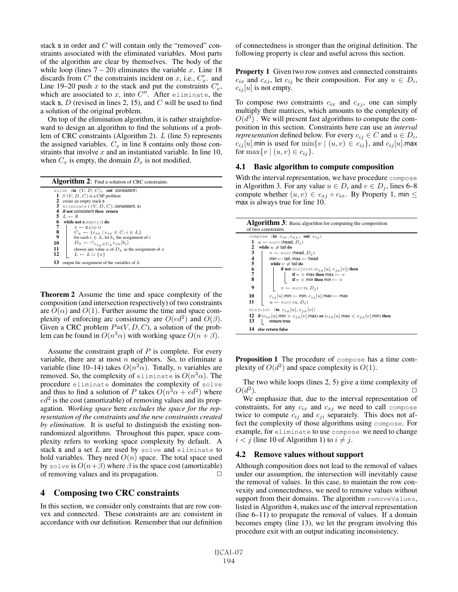stack s in order and C will contain only the "removed" constraints associated with the eliminated variables. Most parts of the algorithm are clear by themselves. The body of the while loop (lines  $7 - 20$ ) eliminates the variable x. Line 18 discards from C' the constraints incident on x, i.e.,  $C'_x$ . and Line 19–20 push x to the stack and put the constraints  $C'_x$ , which are associated to x, into  $C''$ . After eliminate, the stack s,  $D$  (revised in lines 2, 15), and  $C$  will be used to find a solution of the original problem.

On top of the elimination algorithm, it is rather straightforward to design an algorithm to find the solutions of a problem of CRC constraints (Algorithm 2). L (line 5) represents the assigned variables.  $C_x$  in line 8 contains only those constraints that involve  $x$  and an instantiated variable. In line 10, when  $C_x$  is empty, the domain  $D_x$  is not modified.

| <b>Algorithm 2:</b> Find a solution of CRC constraints        |
|---------------------------------------------------------------|
| solve (in $(V, D, C)$ , out consistent)                       |
| 1 // $(V, D, C)$ is a CSP problem                             |
| 2 create an empty stack s                                     |
| 3 eliminate ( $(V, D, C)$ , consistent, s)                    |
| 4 if not consistent then return                               |
| $5\ L \leftarrow \emptyset$                                   |
| 6<br>while not s.empty $()$ do                                |
| 7<br>$x \leftarrow$ S.pop ()                                  |
| 8<br>$C_x \leftarrow \{c_{i,r} \mid c_{i,r} \in C, i \in L\}$ |
| 9<br>for each $i \in L$ , let $b_i$ the assignment of i       |
| $D_x \leftarrow \bigcap_{c_{i_x} \in C_x} c_{ix} [b_i]$<br>10 |
| 11<br>choose any value a of $Dx$ as the assignment of x       |
| 12<br>$L \leftarrow L \cup \{x\}$                             |
| 13<br>output the assignment of the variables of $L$           |

Theorem 2 Assume the time and space complexity of the composition (and intersection respectively) of two constraints are  $O(\alpha)$  and  $O(1)$ . Further assume the time and space complexity of enforcing arc consistency are  $O(ed^2)$  and  $O(\beta)$ . Given a CRC problem  $P=(V, D, C)$ , a solution of the problem can be found in  $O(n^3\alpha)$  with working space  $O(n + \beta)$ .

Assume the constraint graph of  $P$  is complete. For every variable, there are at most  $n$  neighbors. So, to eliminate a variable (line 10–14) takes  $O(n^2\alpha)$ . Totally, *n* variables are removed. So, the complexity of eliminate is  $O(n^3\alpha)$ . The procedure eliminate dominates the complexity of solve and thus to find a solution of P takes  $O(n^3\alpha + \epsilon d^2)$  where  $ed^2$  is the cost (amortizable) of removing values and its propagation. *Working space* here *excludes the space for the representation of the constraints and the new constraints created by elimination*. It is useful to distinguish the existing nonrandomized algorithms. Throughout this paper, space complexity refers to working space complexity by default. A stack s and a set  $L$  are used by solve and eliminate to hold variables. They need  $O(n)$  space. The total space used by solve is  $O(n+\beta)$  where  $\beta$  is the space cost (amortizable) of removing values and its propagation.  $\Box$ 

## 4 Composing two CRC constraints

In this section, we consider only constraints that are row convex and connected. These constraints are arc consistent in accordance with our definition. Remember that our definition of connectedness is stronger than the original definition. The following property is clear and useful across this section.

Property 1 Given two row convex and connected constraints  $c_{ix}$  and  $c_{xj}$ , let  $c_{ij}$  be their composition. For any  $u \in D_i$ ,  $c_{ij}[u]$  is not empty.

To compose two constraints  $c_{ix}$  and  $c_{xj}$ , one can simply multiply their matrices, which amounts to the complexity of  $O(d^3)$ . We will present fast algorithms to compute the composition in this section. Constraints here can use an *interval representation* defined below. For every  $c_{ij} \in C$  and  $u \in D_i$ ,  $c_{ij}[u]$ .min is used for  $\min\{v \mid (u, v) \in c_{ij}\}\$ , and  $c_{ij}[u]$ .max for  $\max\{v \mid (u, v) \in c_{ij}\}.$ 

#### 4.1 Basic algorithm to compute composition

With the interval representation, we have procedure compose in Algorithm 3. For any value  $u \in D_i$  and  $v \in D_i$ , lines 6–8 compute whether  $(u, v) \in c_{xj} \circ c_{ix}$ . By Property 1, min  $\leq$ max is always true for line 10.

|                                       | <b>Algorithm 3:</b> Basic algorithm for computing the composition<br>of two constraints                                                                                                                                            |
|---------------------------------------|------------------------------------------------------------------------------------------------------------------------------------------------------------------------------------------------------------------------------------|
| 2<br>3                                | compose (in $c_{ix}, c_{xj}$ , out $c_{ij}$ )<br>1 $u \leftarrow$ succ (head, $D_i$ )<br>while $u \neq$ tail do<br>$v \leftarrow$ succ (head, $D_i$ )                                                                              |
| $\frac{4}{5}$ 6<br>$\frac{7}{8}$<br>9 | min $\leftarrow$ tail, max $\leftarrow$ head<br>while $v \neq$ tail do<br><b>if not</b> disjoint $(c_{ix}[u], c_{ix}[v])$ then<br>if $v > \max$ then $\max - v$<br>if $v < \min$ then $\min - v$<br>$v \leftarrow$ succ $(v, D_i)$ |
| 10<br>11                              | $c_{i,j}[u]$ .min $\leftarrow$ min, $c_{i,j}[u]$ .max $\leftarrow$ max<br>$u \leftarrow \text{succ}(u, D_i)$                                                                                                                       |
| 13<br>14                              | disjoint (in $c_{ix}[u], c_{ix}[v]$ )<br>12 if $(c_{ix}[u]$ .min > $c_{ix}[v]$ .max) or $(c_{ix}[u]$ .max < $c_{ix}[v]$ .min) then<br>return true<br>else return false                                                             |

Proposition 1 The procedure of compose has a time complexity of  $O(d^2)$  and space complexity is  $O(1)$ .

The two while loops (lines 2, 5) give a time complexity of  $O(d^2)$ .

We emphasize that, due to the interval representation of constraints, for any  $c_{ix}$  and  $c_{xj}$  we need to call compose twice to compute  $c_{ij}$  and  $c_{ji}$  separately. This does not affect the complexity of those algorithms using compose. For example, for eliminate to use compose we need to change  $i < j$  (line 10 of Algorithm 1) to  $i \neq j$ .

## 4.2 Remove values without support

Although composition does not lead to the removal of values under our assumption, the intersection will inevitably cause the removal of values. In this case, to maintain the row convexity and connectedness, we need to remove values without support from their domains. The algorithm removeValues, listed in Algorithm 4, makes use of the interval representation (line 6–11) to propagate the removal of values. If a domain becomes empty (line 13), we let the program involving this procedure exit with an output indicating inconsistency.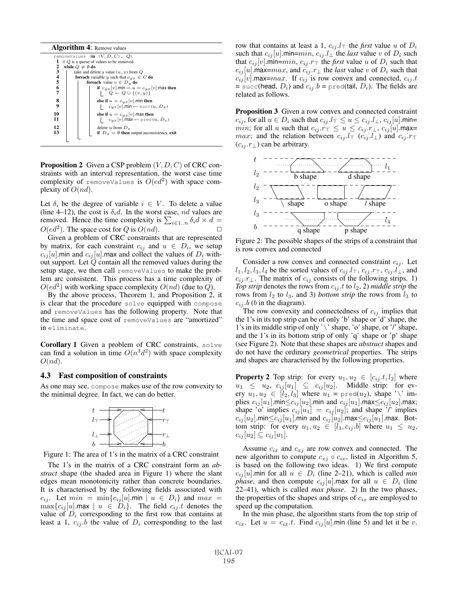#### Algorithm 4: Remove values

| 1<br>2<br>3<br>$\frac{4}{5}$<br>6<br>7<br>8<br>9<br>10 | removeValues (in $(V, D, C)$ , $Q$ )<br>$\pi$ Q is a queue of values to be removed<br>while $Q \neq \emptyset$ do<br>take and delete a value $(u, x)$ from $Q$<br><b>foreach</b> variable y such that $c_{yx} \in C$ <b>do</b><br><b>foreach</b> value $v \in D_y$ <b>do</b><br>if $c_{yx}[v]$ .min = $u = c_{yx}[v]$ .max then<br>$\left\{\n\begin{array}{c}\nQ \leftarrow Q \cup \{(v, y)\}\n\end{array}\n\right\}$<br>else if $u = c_{yx}[v]$ . min then<br>$c_{yx}[v]$ .min $\leftarrow$ succ $(u, D_x)$ |
|--------------------------------------------------------|--------------------------------------------------------------------------------------------------------------------------------------------------------------------------------------------------------------------------------------------------------------------------------------------------------------------------------------------------------------------------------------------------------------------------------------------------------------------------------------------------------------|
| 11<br>12<br>13                                         | else if $u = c_{yx}[v]$ . max then<br>$c_{yx}[v]$ .max $\leftarrow$ pred $(u, D_x)$<br>delete u from $D_x$<br>if $D_x = \emptyset$ then output inconsistency, exit                                                                                                                                                                                                                                                                                                                                           |
|                                                        |                                                                                                                                                                                                                                                                                                                                                                                                                                                                                                              |

**Proposition 2** Given a CSP problem  $(V, D, C)$  of CRC constraints with an interval representation, the worst case time complexity of removeValues is  $O(ed^2)$  with space complexity of  $O(nd)$ .

Let  $\delta_i$  be the degree of variable  $i \in V$ . To delete a value (line 4–12), the cost is  $\delta_i d$ . In the worst case, nd values are removed. Hence the time complexity is  $\sum_{i\in 1..n} \delta_i d \times d =$  $O(ed^2)$ . The space cost for Q is  $O(nd)$ .

Given a problem of CRC constraints that are represented by matrix, for each constraint  $c_{ij}$  and  $u \in D_i$ , we setup  $c_{ij}[u]$ .min and  $c_{ij}[u]$ .max and collect the values of  $D_i$  without support. Let  $Q$  contain all the removed values during the setup stage, we then call removeValues to make the problem arc consistent. This process has a time complexity of  $O(ed^2)$  with working space complexity  $O(nd)$  (due to Q).

By the above process, Theorem 1, and Proposition 2, it is clear that the procedure solve equipped with compose and removeValues has the following property. Note that the time and space cost of removeValues are "amortized" in eliminate.

Corollary 1 Given a problem of CRC constraints, solve can find a solution in time  $O(n^3d^2)$  with space complexity  $O(nd)$ .

#### 4.3 Fast composition of constraints

As one may see, compose makes use of the row convexity to the minimal degree. In fact, we can do better.



Figure 1: The area of 1's in the matrix of a CRC constraint

The 1's in the matrix of a CRC constraint form an *abstract* shape (the shaded area in Figure 1) where the slant edges mean monotonicity rather than concrete boundaries. It is characterised by the following fields associated with  $c_{ij}$ . Let  $min = \min\{c_{ij}[u]$ .min  $|u \in D_i\}$  and  $max =$  $\max\{c_{ij} [u]$ .max  $| u \in D_i\}$ . The field  $c_{ij}$  t denotes the value of  $D_i$  corresponding to the first row that contains at least a 1,  $c_{ij}$  b the value of  $D_i$  corresponding to the last row that contains at least a 1,  $c_{ij}.l_{\top}$  the *first* value u of  $D_i$ such that  $c_{ij}[u]$ .min= $min, c_{ij}.l_{\perp}$  the *last* value v of  $D_i$  such that  $c_{ij}[v]$ .min= $min$ ,  $c_{ij}$ . $r_{\top}$  the *first* value u of  $D_i$  such that  $c_{ij}[u]$ .max= $max$ , and  $c_{ij}.r_{\perp}$  the *last* value v of  $D_i$  such that  $c_{ij}[v]$ .max= $max$ . If  $c_{ij}$  is row convex and connected,  $c_{ij}$ .t = succ(head,  $D_i$ ) and  $c_{ij}$ . $b$  = pred(tail,  $D_i$ ). The fields are related as follows.

Proposition 3 Given a row convex and connected constraint  $c_{ij}$ , for all  $u \in D_i$  such that  $c_{ij}.l_{\top} \leq u \leq c_{ij}.l_{\bot}, c_{ij}[u]$ .min= *min*; for all u such that  $c_{ij}$ . $r_{\perp} \le u \le c_{ij}$ . $r_{\perp}$ ,  $c_{ij}[u]$ .max= *max*; and the relation between  $c_{ij}$  .l<sub>T</sub> ( $c_{ij}$  .l<sub>⊥</sub>) and  $c_{ij}$  .r<sub>T</sub>  $(c_{ij}.r_{\perp})$  can be arbitrary.



Figure 2: The possible shapes of the strips of a constraint that is row convex and connected

Consider a row convex and connected constraint  $c_{ij}$ . Let  $l_1, l_2, l_3, l_4$  be the sorted values of  $c_{ij}.l_{\top}$ ,  $c_{ij}.r_{\top}$ ,  $c_{ij}.l_{\bot}$ , and  $c_{ij}.r_{\perp}$ . The matrix of  $c_{ij}$  consists of the following strips. 1) *Top strip* denotes the rows from  $c_{ij}$  *t* to  $l_2$ , 2) *middle strip* the rows from  $l_2$  to  $l_3$ , and 3) *bottom strip* the rows from  $l_3$  to  $c_{ij}.b$  (b in the diagram).

The row convexity and connectedness of  $c_{ij}$  implies that the 1's in its top strip can be of only 'b' shape or 'd' shape, the 1's in its middle strip of only '\' shape, 'o' shape, or '/' shape, and the 1's in its bottom strip of only 'q' shape or 'p' shape (see Figure 2). Note that these shapes are *abstract* shapes and do not have the ordinary *geometrical* properties. The strips and shapes are characterised by the following properties.

**Property 2** Top strip: for every  $u_1, u_2 \in [c_{ij}, t, l_2]$  where  $u_1 \leq u_2, c_{ij}[u_1] \subseteq c_{ij}[u_2]$ . Middle strip: for every  $u_1, u_2 \in [l_2, l_3]$  where  $u_1 = \text{pred}(u_2)$ , shape '\' implies  $c_{ij}[u_1]$ .min $\leq c_{ij}[u_2]$ .min and  $c_{ij}[u_1]$ .max $\leq c_{ij}[u_2]$ .max; shape 'o' implies  $c_{ij}[u_1] = c_{ij}[u_2]$ ; and shape '/' implies  $c_{ij}[u_2]$ .min $\leq c_{ij}[u_1]$ .min and  $c_{ij}[u_2]$ .max $\leq c_{ij}[u_1]$ .max. Bottom strip: for every  $u_1, u_2 \in [l_3, c_{ij}, b]$  where  $u_1 \leq u_2$ ,  $c_{ij}[u_2] \subseteq c_{ij}[u_1].$ 

Assume  $c_{ix}$  and  $c_{xj}$  are row convex and connected. The new algorithm to compute  $c_{xi} \circ c_{ix}$ , listed in Algorithm 5, is based on the following two ideas. 1) We first compute  $c_{ij} [u]$ .min for all  $u \in D_i$  (line 2–21), which is called *min phase*, and then compute  $c_{ij}[u]$  max for all  $u \in D_i$  (line 22–41), which is called *max phase*. 2) In the two phases, the properties of the shapes and strips of  $c_{ix}$  are employed to speed up the computation.

In the min phase, the algorithm starts from the top strip of  $c_{ix}$ . Let  $u = c_{ix}.t$ . Find  $c_{ij}[u]$  min (line 5) and let it be v.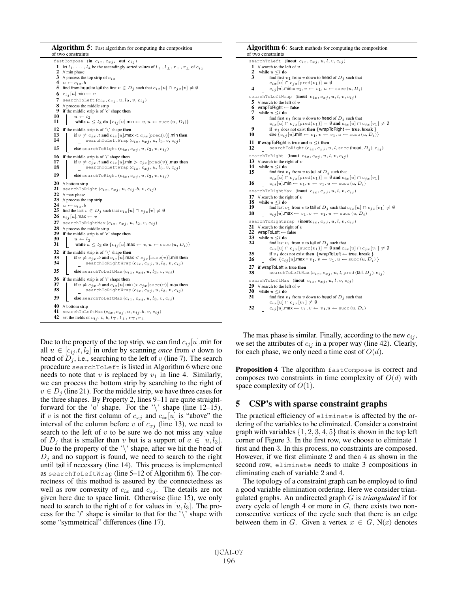

Due to the property of the top strip, we can find  $c_{ij} |u|$ .min for all  $u \in [c_{ij}, t, l_2]$  in order by scanning *once* from v down to head of  $D_i$ , i.e., searching to the left of v (line 7). The search procedure searchToLeft is listed in Algorithm 6 where one needs to note that v is replaced by  $v_1$  in line 4. Similarly, we can process the bottom strip by searching to the right of  $v \in D_i$  (line 21). For the middle strip, we have three cases for the three shapes. By Property 2, lines 9–11 are quite straightforward for the 'o' shape. For the '\' shape (line 12–15), if v is not the first column of  $c_{xj}$  and  $c_{ix}[u]$  is "above" the interval of the column before v of  $c_{xj}$  (line 13), we need to search to the left of  $v$  to be sure we do not miss any value of  $D_i$  that is smaller than v but is a support of  $a \in [u, l_3]$ . Due to the property of the ' $\backslash$ ' shape, after we hit the head of  $D_i$  and no support is found, we need to search to the right until tail if necessary (line 14). This process is implemented as searchToLeftWrap (line 5–12 of Algorithm 6). The correctness of this method is assured by the connectedness as well as row convexity of  $c_{ix}$  and  $c_{xj}$ . The details are not given here due to space limit. Otherwise (line 15), we only need to search to the right of v for values in  $[u, l_3]$ . The process for the '/' shape is similar to that for the ' $\setminus$ ' shape with some "symmetrical" differences (line 17).

| <b>Algorithm 6:</b> Search methods for computing the composition<br>of two constraints                                                                                                                                                                                                                                                                                                                                                                                                                                                    |  |
|-------------------------------------------------------------------------------------------------------------------------------------------------------------------------------------------------------------------------------------------------------------------------------------------------------------------------------------------------------------------------------------------------------------------------------------------------------------------------------------------------------------------------------------------|--|
| searchToLeft (inout $c_{ix}, c_{xj}, u, l, v, c_{ij}$ )<br>1<br>// search to the left of $v$<br>2<br>while $u \leq l$ do<br>3<br>find first $v_1$ from v down to head of $D_i$ such that<br>$c_{ix}[u] \cap c_{jx}[\text{pred}(v_1)] = \emptyset$<br>4<br>$c_{ij}[u]$ .min = $v_1, v \leftarrow v_1, u \leftarrow \text{succ}(u, D_i)$                                                                                                                                                                                                    |  |
| searchToLeftWrap (inout $c_{ix}, c_{xj}, u, l, v, c_{ij}$ )<br>5 // search to the left of $v$<br>6<br>wrapToRight $\leftarrow$ false<br>7<br>while $u \leq l$ do<br>8<br>find first $v_1$ from v down to head of $D_i$ such that<br>$c_{ix}[u] \cap c_{jx}[\text{pred}(v_1)] = \emptyset$ and $c_{ix}[u] \cap c_{jx}[v_1] \neq \emptyset$<br>9<br>if $v_1$ does not exist then {wrapToRight $\leftarrow$ true, break }<br>10<br>else $\{c_{ij}[u]$ .min $\leftarrow v_1, v \leftarrow v_1, u \leftarrow \text{succ}(u, D_i)\}$            |  |
| 11<br>if wrapToRight is true and $u \leq l$ then<br>12<br>searchToRight $(c_{ix}, c_{xj}, u, l, \text{succ}$ (head, $D_j$ ), $c_{ij}$ )                                                                                                                                                                                                                                                                                                                                                                                                   |  |
| searchToRight (inout $c_{ix}, c_{xj}, u, l, v, c_{ij}$ )<br>13 // search to the right of $v$<br>14<br>while $u \leq l$ do<br>15<br>find first $v_1$ from v to tail of $D_i$ such that<br>$c_{ix}[u] \cap c_{jx}[\text{pred}(v_1)] = \emptyset$ and $c_{ix}[u] \cap c_{jx}[v_1]$<br>16<br>$c_{ij}[u]$ .min $\leftarrow v_1, v \leftarrow v_1, u \leftarrow \text{succ}(u, D_i)$                                                                                                                                                            |  |
| searchToRightMax (inout $c_{ix}, c_{xj}, u, l, v, c_{ij}$ )<br>17 // search to the right of $v$<br>18<br>while $u \leq l$ do<br>19<br>find last $v_1$ from v to tail of $D_i$ such that $c_{ix}[u] \cap c_{ix}[v_1] \neq \emptyset$<br>20<br>$c_{i,j}[u]$ .max $\leftarrow v_1, v \leftarrow v_1, u \leftarrow \text{succ}(u, D_i)$                                                                                                                                                                                                       |  |
| searchToRightWrap (inoutc <sub>ix</sub> , $c_{x,i}$ , $u, l, v, c_{ij}$ )<br>21<br>// search to the right of $v$<br>22<br>$w \neq b$ ToLeft $\leftarrow$ false<br>23<br>while $u \leq l$ do<br>24<br>find last $v_1$ from v to tail of $D_i$ such that<br>$c_{ix}[u] \cap c_{ix}[\text{succ}(v_1)] = \emptyset$ and $c_{ix}[u] \cap c_{ix}[v_1] \neq \emptyset$<br>25<br>if $v_1$ does not exist then {wrapToLeft $\leftarrow$ true, break }<br>26<br>else $\{c_{ij}[u]$ .max = $v_1, v \leftarrow v_1, u \leftarrow \text{succ}(u, D_i)$ |  |
| 27<br>if wrapToLeft is true then<br>28<br>searchToLeftMax $(c_{ix}, c_{xi}, u, l, \text{pred}$ (tail, $D_i$ ), $c_{ij}$ )                                                                                                                                                                                                                                                                                                                                                                                                                 |  |
| searchToLeftMax (inout $c_{ix}, c_{xj}, u, l, v, c_{ij}$ )<br>29<br>// search to the left of $v$<br>30<br>while $u \leq l$ do<br>31<br>find first $v_1$ from v down to head of $D_i$ such that<br>$c_{ix}[u] \cap c_{jx}[v_1] \neq \emptyset$                                                                                                                                                                                                                                                                                             |  |
| 32<br>$c_{ij}[u]$ .max $\leftarrow v_1, v \leftarrow v_1, u \leftarrow \text{succ}(u, D_i)$                                                                                                                                                                                                                                                                                                                                                                                                                                               |  |

The max phase is similar. Finally, according to the new  $c_{ij}$ , we set the attributes of  $c_{ij}$  in a proper way (line 42). Clearly, for each phase, we only need a time cost of  $O(d)$ .

Proposition 4 The algorithm fastCompose is correct and composes two constraints in time complexity of  $O(d)$  with space complexity of  $O(1)$ .

## 5 CSP's with sparse constraint graphs

The practical efficiency of eliminate is affected by the ordering of the variables to be eliminated. Consider a constraint graph with variables  $\{1, 2, 3, 4, 5\}$  that is shown in the top left corner of Figure 3. In the first row, we choose to eliminate 1 first and then 3. In this process, no constraints are composed. However, if we first eliminate 2 and then 4 as shown in the second row, eliminate needs to make 3 compositions in eliminating each of variable 2 and 4.

The topology of a constraint graph can be employed to find a good variable elimination ordering. Here we consider triangulated graphs. An undirected graph G is *triangulated* if for every cycle of length 4 or more in  $G$ , there exists two nonconsecutive vertices of the cycle such that there is an edge between them in G. Given a vertex  $x \in G$ , N(x) denotes